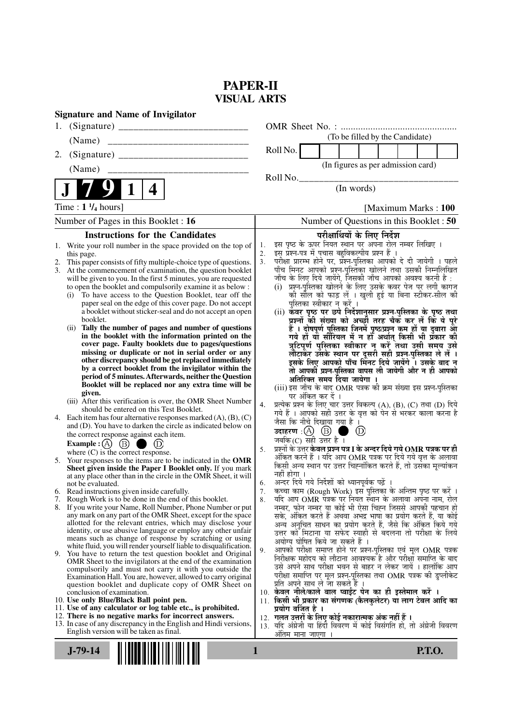# **PAPER-II VISUAL ARTS**

| <b>Signature and Name of Invigilator</b>                                                                                       |                                                                                                                                  |
|--------------------------------------------------------------------------------------------------------------------------------|----------------------------------------------------------------------------------------------------------------------------------|
|                                                                                                                                |                                                                                                                                  |
| (Name)                                                                                                                         | (To be filled by the Candidate)                                                                                                  |
| 2.                                                                                                                             | Roll No.                                                                                                                         |
| (Name)                                                                                                                         | (In figures as per admission card)                                                                                               |
| 4                                                                                                                              | Roll No.<br>(In words)                                                                                                           |
|                                                                                                                                |                                                                                                                                  |
| Time : $1 \frac{1}{4}$ hours]                                                                                                  | [Maximum Marks: 100]                                                                                                             |
| Number of Pages in this Booklet : 16                                                                                           | Number of Questions in this Booklet : 50                                                                                         |
| <b>Instructions for the Candidates</b>                                                                                         | परीक्षार्थियों के लिए निर्देश<br>इस पृष्ठ के ऊपर नियत स्थान पर अपना रोल नम्बर लिखिए ।                                            |
| 1. Write your roll number in the space provided on the top of<br>this page.                                                    | 1.<br>इस प्रश्न-पत्र में पचास बहुविकल्पीय प्रश्न हैं ।<br>2.                                                                     |
| This paper consists of fifty multiple-choice type of questions.                                                                | परीक्षा प्रारम्भ होने पर, प्रॅश्नू-पुस्तिका आपको दे दी जायेगी । पहले<br>3.                                                       |
| 3.<br>At the commencement of examination, the question booklet                                                                 | पाँच मिनट आपको प्रश्न-पुस्तिका खोलने तथा उसकी निम्नलिखित                                                                         |
| will be given to you. In the first 5 minutes, you are requested<br>to open the booklet and compulsorily examine it as below :  | जाँच के लिए दिये जायेंगे, जिसकी जाँच आपको अवश्य करनी है :<br>(i) प्रश्न-पुस्तिका खोलने के लिए उसके कवर पेज पर लगी कागज           |
| To have access to the Question Booklet, tear off the<br>(i)                                                                    | की सील को फाड़ लें । खुली हुई या बिना स्टीकर-सील की                                                                              |
| paper seal on the edge of this cover page. Do not accept                                                                       | पुस्तिका स्वीकार न करें ।                                                                                                        |
| a booklet without sticker-seal and do not accept an open<br>booklet.                                                           | (ii) कवर पृष्ठ पर छपे निर्देशानुसार प्रश्न्-पुस्तिका के पृष्ठ तथा<br>प्रश्नों की संख्या को अच्छी तरह चैक कर लें कि ये पूरे       |
| Tally the number of pages and number of questions<br>(ii)                                                                      |                                                                                                                                  |
| in the booklet with the information printed on the                                                                             | हैं । दोषपूर्ण पुस्तिका जिनमें पृष्ठ/प्रश्न कम हों या दुबारा आ<br>गये हो या सीरियल में न हो अर्थात् किसी भी प्रकार की            |
| cover page. Faulty booklets due to pages/questions<br>missing or duplicate or not in serial order or any                       | त्रुटिपूर्ण पुस्तिका स्वीकार न करें तथा उसी समय उसे<br>लौटाकेर उसके स्थान पर दूसरी सही प्रश्न-पुस्तिका ले लें।                   |
| other discrepancy should be got replaced immediately                                                                           | इसके लिए आपको पाँच मिंनट दिये जायेंगे ँ। उसके बाद न                                                                              |
| by a correct booklet from the invigilator within the                                                                           | तो आपकी प्रश्न-पुस्तिका वापस ली जायेगी और न ही आपको                                                                              |
| period of 5 minutes. Afterwards, neither the Question<br>Booklet will be replaced nor any extra time will be                   | अतिरिक्त समय दिया जायेगा ।                                                                                                       |
| given.                                                                                                                         | (iii) इस जाँच के बाद OMR पत्रक की क्रम संख्या इस प्रश्न-पुस्तिका<br>पर अंकित कर दें ।                                            |
| (iii) After this verification is over, the OMR Sheet Number                                                                    | प्रत्येक प्रश्न के लिए चार उत्तर विकल्प (A), (B), (C) तथा (D) दिये<br>4.                                                         |
| should be entered on this Test Booklet.<br>4. Each item has four alternative responses marked $(A)$ , $(B)$ , $(C)$            | गये हैं । आपको सही उत्तर के वृत्त को पेन से भरकर काला करना है                                                                    |
| and (D). You have to darken the circle as indicated below on                                                                   | जैसा कि नीचे दिखाया गया है ।<br>a an                                                                                             |
| the correct response against each item.                                                                                        | $\circled{D}$<br>जबकि (C) सही उत्तर है $\overline{1}$                                                                            |
| <b>Example:</b> (A) $(B)$<br>a a<br>where $(C)$ is the correct response.                                                       | प्रश्नों के उत्तर <b>केवल प्रश्न पत्र I के अन्दर दिये गये OMR पत्रक पर ही</b><br>5.                                              |
| 5. Your responses to the items are to be indicated in the OMR                                                                  | अंकित करने हैं । यदि आप OMR पत्रक पर दिये गये वृत्त के अलावा                                                                     |
| Sheet given inside the Paper I Booklet only. If you mark                                                                       | किसी अन्य स्थान पर उत्तर चिह्नांकित करते हैं, तो उसका मूल्यांकन<br>नहीं होगा ।                                                   |
| at any place other than in the circle in the OMR Sheet, it will<br>not be evaluated.                                           | अन्दर दिये गये निर्देशों को ध्यानपूर्वक पढ़ें ।<br>6.                                                                            |
| 6. Read instructions given inside carefully.                                                                                   | कच्चा काम (Rough Work) इस पुस्तिका के अन्तिम पृष्ठ पर करें ।<br>7.                                                               |
| 7. Rough Work is to be done in the end of this booklet.<br>8. If you write your Name, Roll Number, Phone Number or put         | यदि आप OMR पत्रक पर नियत स्थान के अलावा अपना नाम, रोल<br>8.                                                                      |
| any mark on any part of the OMR Sheet, except for the space                                                                    | नम्बर, फोन नम्बर या कोई भी ऐसा चिह्न जिससे आपकी पहचान हो<br>सके, अंकित करते हैं अथवा अभद्र भाषा का प्रयोग करते हैं, या कोई       |
| allotted for the relevant entries, which may disclose your                                                                     | अन्य अनुचित साधन का प्रयोग करते हैं, जैसे कि अंकित किये गये                                                                      |
| identity, or use abusive language or employ any other unfair<br>means such as change of response by scratching or using        | उत्तर को मिटाना या सफेद स्याही से बदलना तो परीक्षा के लिये                                                                       |
| white fluid, you will render yourself liable to disqualification.                                                              | अयोग्य घोषित किये जा सकते हैं ।<br>आपको परीक्षा समाप्त होने पर प्रश्न-पुस्तिका एवं मूल OMR पत्रक<br>9.                           |
| 9.<br>You have to return the test question booklet and Original<br>OMR Sheet to the invigilators at the end of the examination | निरीक्षक महोदय को लौटाना आवश्यक है और परीक्षा समाप्ति के बाद                                                                     |
| compulsorily and must not carry it with you outside the                                                                        | उसे अपने साथ परीक्षा भवन से बाहर न लेकर जायें । हालांकि आप                                                                       |
| Examination Hall. You are, however, allowed to carry original                                                                  | परीक्षा समाप्ति पर मूल प्रश्न-पुस्तिका तथा OMR पत्रक की डुप्लीकेट<br>प्रति अपने साथ ले जा सकते हैं ।                             |
| question booklet and duplicate copy of OMR Sheet on<br>conclusion of examination.                                              | 10. केवल नीले/काले बाल प्वाईंट पेन का ही इस्तेमाल करें ।                                                                         |
| 10. Use only Blue/Black Ball point pen.                                                                                        | 11. किसी भी प्रकार का संगणक (कैलकुलेटर) या लाग टेबल आदि का                                                                       |
| 11. Use of any calculator or log table etc., is prohibited.<br>12. There is no negative marks for incorrect answers.           | प्रयोग वर्जित है ।                                                                                                               |
| 13. In case of any discrepancy in the English and Hindi versions,                                                              | 12.  गलत उत्तरों के लिए कोई नकारात्मक अंक नहीं हैं ।<br>यदि अंग्रेजी या हिंदी विवरण में कोई विसंगति हो, तो अंग्रेजी विवरण<br>13. |
| English version will be taken as final.                                                                                        | अंतिम माना जाएगा ।                                                                                                               |
|                                                                                                                                |                                                                                                                                  |
| $J-79-14$                                                                                                                      | 1<br><b>P.T.O.</b>                                                                                                               |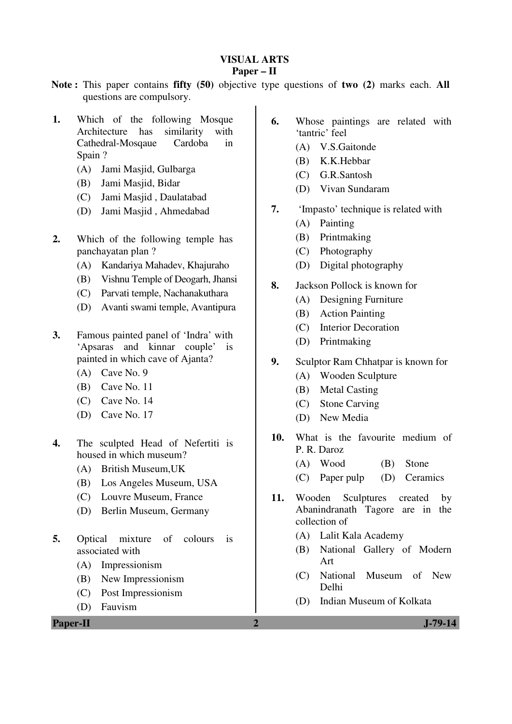# **VISUAL ARTS**

## **Paper – II**

- **Note :** This paper contains **fifty (50)** objective type questions of **two (2)** marks each. **All** questions are compulsory.
- **1.** Which of the following Mosque Architecture has similarity with Cathedral-Mosqaue Cardoba in Spain ?
	- (A) Jami Masjid, Gulbarga
	- (B) Jami Masjid, Bidar
	- (C) Jami Masjid , Daulatabad
	- (D) Jami Masjid , Ahmedabad
- **2.** Which of the following temple has panchayatan plan ?
	- (A) Kandariya Mahadev, Khajuraho
	- (B) Vishnu Temple of Deogarh, Jhansi
	- (C) Parvati temple, Nachanakuthara
	- (D) Avanti swami temple, Avantipura
- **3.** Famous painted panel of 'Indra' with 'Apsaras and kinnar couple' is painted in which cave of Ajanta?
	- (A) Cave No. 9
	- (B) Cave No. 11
	- (C) Cave No. 14
	- (D) Cave No. 17
- **4.** The sculpted Head of Nefertiti is housed in which museum?
	- (A) British Museum,UK
	- (B) Los Angeles Museum, USA
	- (C) Louvre Museum, France
	- (D) Berlin Museum, Germany
- **5.** Optical mixture of colours is associated with
	- (A) Impressionism
	- (B) New Impressionism
	- (C) Post Impressionism
	- (D) Fauvism
- **6.** Whose paintings are related with 'tantric' feel
	- (A) V.S.Gaitonde
	- (B) K.K.Hebbar
	- (C) G.R.Santosh
	- (D) Vivan Sundaram
- **7.** 'Impasto' technique is related with (A) Painting
	- (B) Printmaking
	- (C) Photography
	- (D) Digital photography
- **8.** Jackson Pollock is known for
	- (A) Designing Furniture
	- (B) Action Painting
	- (C) Interior Decoration
	- (D) Printmaking
- **9.** Sculptor Ram Chhatpar is known for
	- (A) Wooden Sculpture
	- (B) Metal Casting
	- (C) Stone Carving
	- (D) New Media
- **10.** What is the favourite medium of P. R. Daroz
	- (A) Wood (B) Stone
	- (C) Paper pulp (D) Ceramics
- **11.** Wooden Sculptures created by Abanindranath Tagore are in the collection of
	- (A) Lalit Kala Academy
	- (B) National Gallery of Modern Art
	- (C) National Museum of New Delhi
	- (D) Indian Museum of Kolkata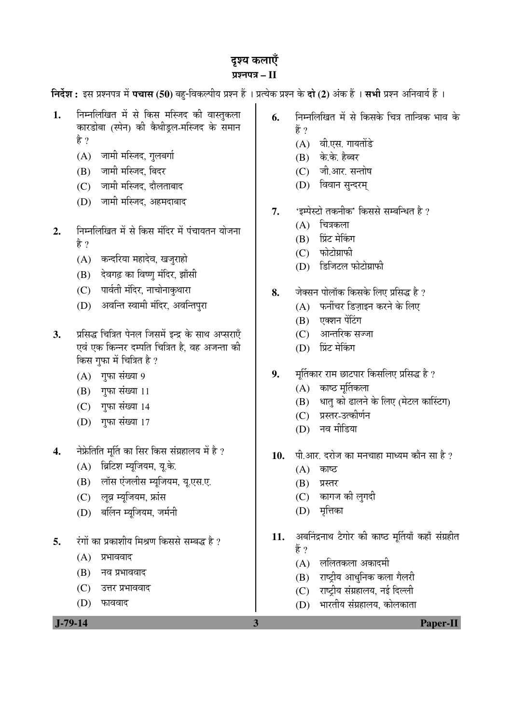# दृश्य कलाएँ प्रश्नपत्र – II

**निर्देश :** इस प्रश्नपत्र में **पचास (50)** बह-विकल्पीय प्रश्न हैं । प्रत्येक प्रश्न के **दो (2)** अंक हैं । सभी प्रश्न अनिवार्य हैं ।

- **1.** ×®Ö´®Ö×»Ö×ÜÖŸÖ ´Öë ÃÖê ×ÛúÃÖ ´Ö×Õ֤ü Ûúß ¾ÖÖßÖãÛú»ÖÖ कारडोबा (स्पेन) की कैथीड्रल-मस्जिद के समान है ?
	- $(A)$  जामी मस्जिद, गलबर्गा
	- (B) जामी मस्जिद, बिदर
	- (C) जामी मस्जिद, दौलताबाद
	- (D) जामी मस्जिद, अहमदाबाद
- 2. निम्नलिखित में से किस मंदिर में पंचायतन योजना है ?
	- (A) कन्दरिया महादेव, खजुराहो
	- (B) देवगढ़ का विष्णु मंदिर, झाँसी
	- (C) पार्वती मंदिर, नाचोनाकृथारा
	- (D) अवन्ति स्वामी मंदिर, अवन्तिपुरा
- 3. ÞJ प्रसिद्ध चित्रित पेनल जिसमें इन्द्र के साथ अप्सराएँ एवं एक किन्नर दम्पति चित्रित है, वह अजन्ता की किस गुफा में चित्रित है ?
	- $(A)$  गुफा संख्या 9
	- $(B)$  गफा संख्या 11
	- $(C)$  गुफा संख्या 14
	- (D) गुफा संख्या 17
- **4.** नेफ्रेतिति मर्ति का सिर किस संग्रहालय में है ?
	- (A) ब्रिटिश म्युजियम, यू.के.
	- (B) लॉस एंजलीस म्यूजियम, यू.एस.ए.
	- (C) लुव्र म्युजियम, फ्रांस
	- (D) बर्लिन म्युजियम, जर्मनी
- **5.** ∑ंगों का प्रकाशीय मिश्रण किससे सम्बद्ध है ?
	- $(A)$  प्रभाववाद
	- $(B)$  नव प्रभाववाद
	- $(C)$  उत्तर प्रभाववाद
	- (D) फाववाद

**6.** निम्नलिखित में से किसके चित्र तान्त्रिक भाव के हें ?

- $(A)$  वी.एस. गायतोंडे
- $(B)$  के.के. हैब्बर
- $(C)$  नी आर सन्तोष
- (D) विवान सुन्दरम्
- 7. 'इम्पेस्टो तकनीक' किससे सम्बन्धित है ?
	- $(A)$  चित्रकला
	- (B) प्रिंट मेकिंग
	- $(C)$  फोटोग्राफी
	- $(D)$  डिजिटल फोटोग्राफी
- **8.** •ÖêŒÃÖ®Ö ¯ÖÖê»ÖÖòÛú ×ÛúÃÖÛêú ×»Ö‹ ¯ÖÏ×ÃÖ¨ü Æîü ?
	- $(A)$  फर्नीचर डिजाइन करने के लिए
	- $(B)$  एक्शन पेंटिंग
	- (C) आन्तरिक सज्जा
	- (D) प्रिंट मेकिंग
- 9. <sup>F</sup>HÖ TH छाटपार किसलिए प्रसिद्ध है ?
	- $(A)$  काष्ट मर्तिकला
	- (B) धात् को ढालने के लिए (मेटल कास्टिंग)
	- (C) प्रस्तर-उत्कीर्णन
	- (D) नव मीडिया
- 10. पी.आर. दरोज का मनचाहा माध्यम कौन सा है ?
	- $(A)$  काष्ठ
	- $(B)$  प्रस्तर
	- (C) कागज की लुगदी
	- $(D)$  मृत्तिका
- 11. अबनिंद्रनाथ टैगोर की काष्ठ मूर्तियाँ कहाँ संग्रहीत हें ?
	- $(A)$  ललितकला अकादमी
	- (B) राष्ट्रीय आधुनिक कला गैलरी
	- $(C)$  राष्टीय संग्रहालय, नई दिल्ली
	- (D) भारतीय संग्रहालय, कोलकाता

 **J-79-14 3 Paper-II**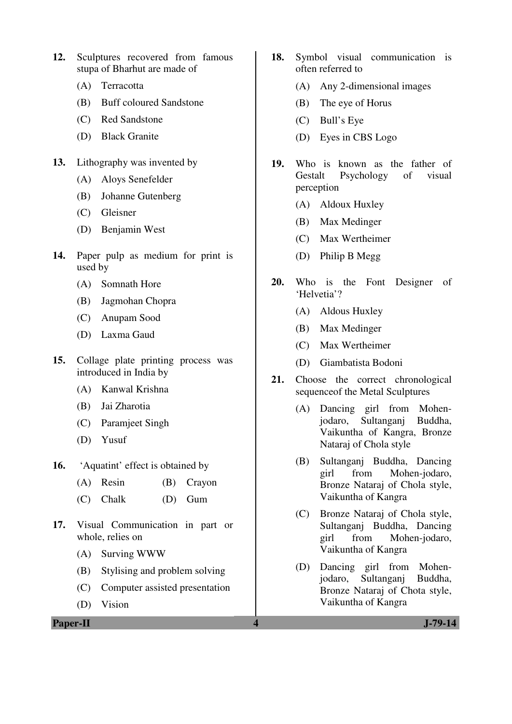- **12.** Sculptures recovered from famous stupa of Bharhut are made of
	- (A) Terracotta
	- (B) Buff coloured Sandstone
	- (C) Red Sandstone
	- (D) Black Granite
- **13.** Lithography was invented by
	- (A) Aloys Senefelder
	- (B) Johanne Gutenberg
	- (C) Gleisner
	- (D) Benjamin West
- **14.** Paper pulp as medium for print is used by
	- (A) Somnath Hore
	- (B) Jagmohan Chopra
	- (C) Anupam Sood
	- (D) Laxma Gaud
- **15.** Collage plate printing process was introduced in India by
	- (A) Kanwal Krishna
	- (B) Jai Zharotia
	- (C) Paramjeet Singh
	- (D) Yusuf
- **16.** 'Aquatint' effect is obtained by
	- (A) Resin (B) Crayon
	- (C) Chalk (D) Gum
- **17.** Visual Communication in part or whole, relies on
	- (A) Surving WWW
	- (B) Stylising and problem solving
	- (C) Computer assisted presentation
	- (D) Vision

**Paper-II 4 J-79-14**

- **18.** Symbol visual communication is often referred to
	- (A) Any 2-dimensional images
	- (B) The eye of Horus
	- (C) Bull's Eye
	- (D) Eyes in CBS Logo
- **19.** Who is known as the father of Gestalt Psychology of visual perception
	- (A) Aldoux Huxley
	- (B) Max Medinger
	- (C) Max Wertheimer
	- (D) Philip B Megg
- **20.** Who is the Font Designer of 'Helvetia'?
	- (A) Aldous Huxley
	- (B) Max Medinger
	- (C) Max Wertheimer
	- (D) Giambatista Bodoni
- **21.** Choose the correct chronological sequenceof the Metal Sculptures
	- (A) Dancing girl from Mohenjodaro, Sultanganj Buddha, Vaikuntha of Kangra, Bronze Nataraj of Chola style
	- (B) Sultanganj Buddha, Dancing girl from Mohen-jodaro, Bronze Nataraj of Chola style, Vaikuntha of Kangra
	- (C) Bronze Nataraj of Chola style, Sultanganj Buddha, Dancing girl from Mohen-jodaro, Vaikuntha of Kangra
	- (D) Dancing girl from Mohenjodaro, Sultanganj Buddha, Bronze Nataraj of Chota style, Vaikuntha of Kangra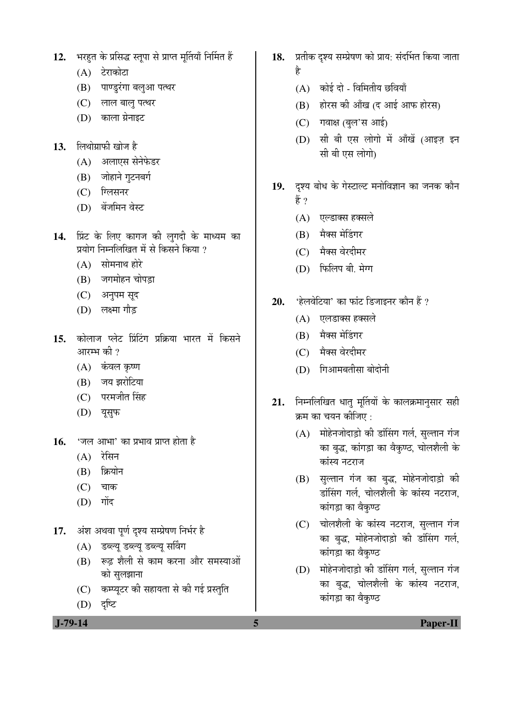- 12. भरहत के प्रसिद्ध स्तुपा से प्राप्त मुर्तियाँ निर्मित हैं
	- (A) टेराकोटा
	- (B) पाण्डुरंगा बलुआ पत्थर
	- (C) लाल बालु पत्थर
	- (D) काला ग्रेनाइट
- 13. लिथोग्राफी खोज है
	- (A) अलाएस सेनेफेडर
	- (B) जोहाने गुटनबर्ग
	- (C) ग्लिसनर
	- (D) बेंजमिन वेस्ट
- 14. प्रिंट के लिए कागज की लुगदी के माध्यम का <u>प्रयोग निम्नलिखित में से किसने किया ?</u>
	- $(A)$  सोमनाथ होरे
	- $(B)$  जगमोहन चोपडा
	- (C) अनुपम सूद
	- (D) लक्ष्मा गौड
- 15. कोलाज प्लेट प्रिंटिंग प्रक्रिया भारत में किसने आरम्भ की  $\overline{?}$ 
	- (A) कंवल कृष्ण
	- (B) जय झरोटिया
	- (C) परमजीत सिंह
	- (D) यूसुफ
- 16. **'जल आभा' का प्रभाव प्राप्त होता** है
	- $(A)$  रेसिन
	- (B) क्रियोन
	- $(C)$  चाक
	- $(D)$  गोंद
- 17. *अंश अथवा पूर्ण दृश्य सम्प्रेषण निर्भर है* 
	- (A) डब्ल्यू डब्ल्यू डब्ल्यू सर्विंग
	- (B) रूढ शैली से काम करना और समस्याओं को सुलझाना
	- (C) कम्प्यूटर की सहायता से की गई प्रस्तुति
	- (D) दृष्टि
- 18. प्रतीक दृश्य सम्प्रेषण को प्राय: संदर्भित किया जाता Æîü
	- $(A)$  कोई दो विमितीय छवियाँ
	- $(B)$  होरस की आँख (द आई आफ होरस)
	- (C) गवाक्ष (बुल'स आई)
	- (D) सी बी एस लोगो में आँखें (आइज़ इन सी बी एस लोगो)
- 19. दृश्य बोध के गेस्टाल्ट मनोविज्ञान का जनक कौन हैं ?
	- $(A)$  एल्डाक्स हक्सले
	- (B) मैक्स मेडिंगर
	- (C) मैक्स वेरदीमर
	- (D) फिलिप बी. मेग्ग
- 20. 'हेलवेटिया' का फांट डिजाइनर कौन हैं ?
	- (A) एलडाक्स हक्सले
	- (B) मैक्स मेडिंगर
	- (C) मैक्स वेरदीमर
	- $(D)$  गिआमबतीसा बोदोनी
- 21. निम्नलिखित धातु मूर्तियों के कालक्रमानुसार सही क्रम का चयन कीजिए :
	- $(A)$  मोहेनजोदाड़ो की डांसिंग गर्ल, सुल्तान गंज का बुद्ध, कांगड़ा का वैकुण्ठ, चोलशैली के कांस्य नटराज
	- (B) सुल्तान गंज का बुद्ध, मोहेनजोदाड़ो की डांसिंग गर्ल, चोलशैली के कांस्य नटराज, कांगड़ा का वैकुण्ठ
	- (C) घोलशैली के कांस्य नटराज, सुल्तान गंज का बुद्ध, मोहेनजोदाड़ो की डांसिंग गर्ल, कांगड़ा का वैकुण्ठ
	- $(D)$  मोहेनजोदाड़ो की डांसिंग गर्ल, सुल्तान गंज का बुद्ध, चोलशैली के कांस्य नटराज, कांगड़ा का वैकण्ठ

 **J-79-14 5 Paper-II**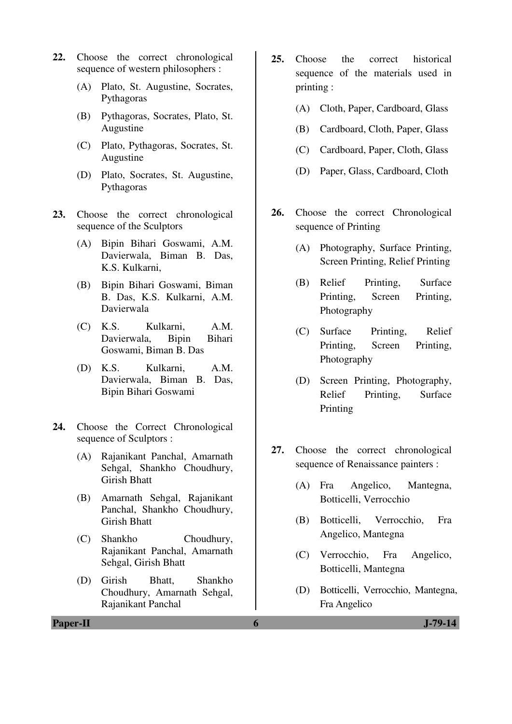- **22.** Choose the correct chronological sequence of western philosophers :
	- (A) Plato, St. Augustine, Socrates, Pythagoras
	- (B) Pythagoras, Socrates, Plato, St. Augustine
	- (C) Plato, Pythagoras, Socrates, St. Augustine
	- (D) Plato, Socrates, St. Augustine, Pythagoras
- **23.** Choose the correct chronological sequence of the Sculptors
	- (A) Bipin Bihari Goswami, A.M. Davierwala, Biman B. Das, K.S. Kulkarni,
	- (B) Bipin Bihari Goswami, Biman B. Das, K.S. Kulkarni, A.M. Davierwala
	- (C) K.S. Kulkarni, A.M. Davierwala, Bipin Bihari Goswami, Biman B. Das
	- (D) K.S. Kulkarni, A.M. Davierwala, Biman B. Das, Bipin Bihari Goswami
- **24.** Choose the Correct Chronological sequence of Sculptors :
	- (A) Rajanikant Panchal, Amarnath Sehgal, Shankho Choudhury, Girish Bhatt
	- (B) Amarnath Sehgal, Rajanikant Panchal, Shankho Choudhury, Girish Bhatt
	- (C) Shankho Choudhury, Rajanikant Panchal, Amarnath Sehgal, Girish Bhatt
	- (D) Girish Bhatt, Shankho Choudhury, Amarnath Sehgal, Rajanikant Panchal
- **25.** Choose the correct historical sequence of the materials used in printing :
	- (A) Cloth, Paper, Cardboard, Glass
	- (B) Cardboard, Cloth, Paper, Glass
	- (C) Cardboard, Paper, Cloth, Glass
	- (D) Paper, Glass, Cardboard, Cloth
- **26.** Choose the correct Chronological sequence of Printing
	- (A) Photography, Surface Printing, Screen Printing, Relief Printing
	- (B) Relief Printing, Surface Printing, Screen Printing, Photography
	- (C) Surface Printing, Relief Printing, Screen Printing, Photography
	- (D) Screen Printing, Photography, Relief Printing, Surface Printing
- **27.** Choose the correct chronological sequence of Renaissance painters :
	- (A) Fra Angelico, Mantegna, Botticelli, Verrocchio
	- (B) Botticelli, Verrocchio, Fra Angelico, Mantegna
	- (C) Verrocchio, Fra Angelico, Botticelli, Mantegna
	- (D) Botticelli, Verrocchio, Mantegna, Fra Angelico

**Paper-II 6 J-79-14**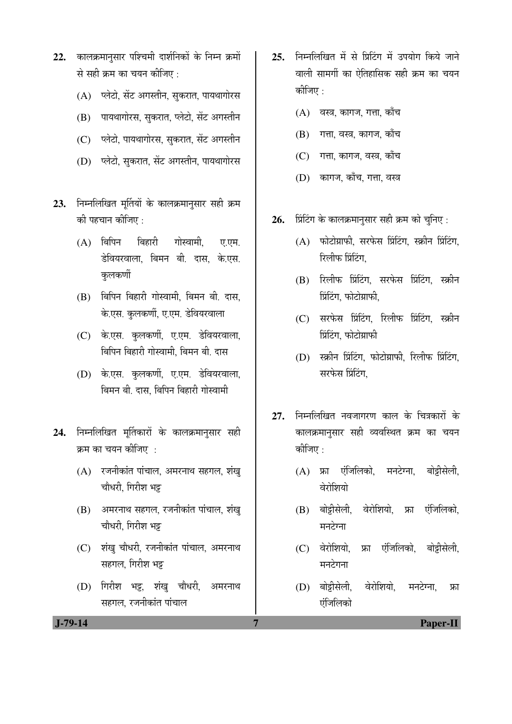- 22. कालक्रमानसार पश्चिमी दार्शनिकों के निम्न क्रमों से सही क्रम का चयन कीजिए :
	- (A) ज्लेटो, सेंट अगस्तीन, सुकरात, पायथागोरस
	- (B) गायथागोरस, सकरात, प्लेटो, सेंट अगस्तीन
	- (C) प्लेटो, पायथागोरस, सुकरात, सेंट अगस्तीन
	- (D) प्लेटो, सकरात, सेंट अगस्तीन, पायथागोरस
- 23. निम्नलिखित मूर्तियों के कालक्रमानुसार सही क्रम की पहचान कीजिए :
	- $(A)$  बिपिन बिहारी गोस्वामी. ए.एम. डेवियरवाला, बिमन बी. दास, के.एस. कलकर्णी
	- (B) बिपिन बिहारी गोस्वामी, बिमन बी, दास, के.एस. कुलकर्णी, ए.एम. डेवियरवाला
	- (C) के.एस. कलकर्णी, ए.एम. डेवियरवाला, बिपिन बिहारी गोस्वामी. बिमन बी. दास
	- (D) के.एस. कुलकर्णी, ए.एम. डेवियरवाला, बिमन बी. दास, बिपिन बिहारी गोस्वामी
- 24. निम्नलिखित मूर्तिकारों के कालक्रमानुसार सही क्रम का चयन कीजिए $\,$  :
	- $(A)$  रजनीकांत पांचाल, अमरनाथ सहगल, शंख् चौधरी, गिरीश भट्ट
	- (B) अमरनाथ सहगल, रजनीकांत पांचाल, शंख् चौधरी, गिरीश भट्ट
	- (C) शंखु चौधरी, रजनीकांत पांचाल, अमरनाथ सहगल, गिरीश भट्ट
	- (D) गिरीश भट्ट, शंखु चौधरी, अमरनाथ सहगल, रजनीकांत पांचाल
- 25. निम्नलिखित में से प्रिटिंग में उपयोग किये जाने वाली सामर्गी का ऐतिहासिक सही क्रम का चयन कीजिए $\cdot$ 
	- $(A)$  वस्त्र, कागज, गत्ता, काँच
	- (B) गत्ता, वस्त्र, कागज, काँच
	- (C) गत्ता, कागज, वस्त्र, काँच
	- (D) कागज, काँच, गत्ता, वस्त्र
- 26. *प्रिंटिंग के कालक्रमानुसार सही क्रम को चुनिए :* 
	- $(A)$  फोटोग्राफी, सरफेस प्रिंटिंग, स्क्रीन प्रिंटिंग, रिलीफ प्रिंटिंग.
	- $(B)$  रिलीफ प्रिंटिंग, सरफेस प्रिंटिंग, स्क्रीन प्रिंटिंग, फोटोग्राफी,
	- $(C)$  सरफेस प्रिंटिंग, रिलीफ प्रिंटिंग, स्क्रीन प्रिंटिंग, फोटोग्राफ<mark>ी</mark>
	- $(D)$  स्क्रीन प्रिंटिंग, फोटोग्राफी, रिलीफ प्रिंटिंग, सरफेस प्रिंटिंग,
- 27. निम्नलिखित नवजागरण काल के चित्रकारों के कालक्रमानुसार सही व्यवस्थित क्रम का चयन कीजिए :
	- (A) फ्रा एंजिलिको, मनटेग्ना, बोट्टीसेली, वेरोशियो
	- (B) बोट्टीसेली, वेरोशियो, फ्रा एंजिलिको, मनटेग्ना
	- (C) वेरोशियो, फ्रा एंजिलिको, बोट्टीसेली, मनटेगना
	- (D) बोट्टीसेली, वेरोशियो, मनटेग्ना, फ्रा एंजिलिको

 **J-79-14 7 Paper-II**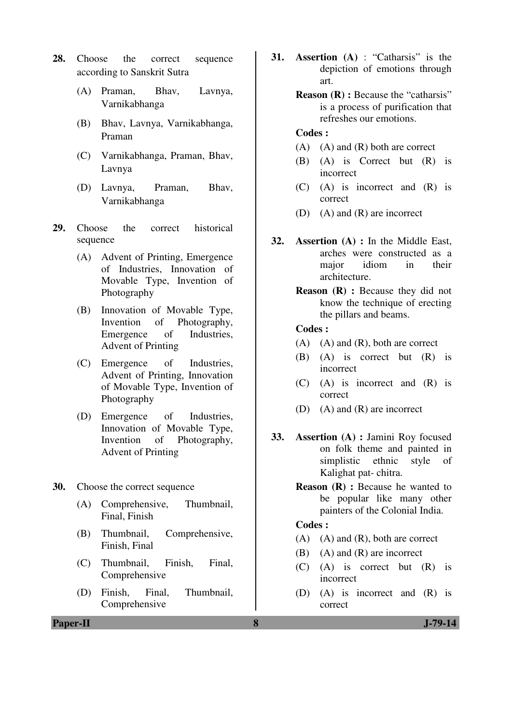- **28.** Choose the correct sequence according to Sanskrit Sutra
	- (A) Praman, Bhav, Lavnya, Varnikabhanga
	- (B) Bhav, Lavnya, Varnikabhanga, Praman
	- (C) Varnikabhanga, Praman, Bhav, Lavnya
	- (D) Lavnya, Praman, Bhav, Varnikabhanga
- **29.** Choose the correct historical sequence
	- (A) Advent of Printing, Emergence of Industries, Innovation of Movable Type, Invention of Photography
	- (B) Innovation of Movable Type, Invention of Photography, Emergence of Industries, Advent of Printing
	- (C) Emergence of Industries, Advent of Printing, Innovation of Movable Type, Invention of Photography
	- (D) Emergence of Industries, Innovation of Movable Type, Invention of Photography, Advent of Printing
- **30.** Choose the correct sequence
	- (A) Comprehensive, Thumbnail, Final, Finish
	- (B) Thumbnail, Comprehensive, Finish, Final
	- (C) Thumbnail, Finish, Final, Comprehensive
	- (D) Finish, Final, Thumbnail, Comprehensive
- **31. Assertion (A)** : "Catharsis" is the depiction of emotions through art.
	- **Reason (R) :** Because the "catharsis" is a process of purification that refreshes our emotions.

## **Codes :**

- (A) (A) and (R) both are correct
- (B) (A) is Correct but (R) is incorrect
- (C) (A) is incorrect and (R) is correct
- (D) (A) and (R) are incorrect
- **32. Assertion (A) :** In the Middle East, arches were constructed as a major idiom in their architecture.
	- **Reason (R) :** Because they did not know the technique of erecting the pillars and beams.

### **Codes :**

- (A) (A) and (R), both are correct
- (B) (A) is correct but (R) is incorrect
- (C) (A) is incorrect and (R) is correct
- (D) (A) and (R) are incorrect
- **33. Assertion (A) :** Jamini Roy focused on folk theme and painted in simplistic ethnic style of Kalighat pat- chitra.
	- **Reason (R) :** Because he wanted to be popular like many other painters of the Colonial India.

### **Codes :**

- (A) (A) and (R), both are correct
- (B) (A) and (R) are incorrect
- (C) (A) is correct but (R) is incorrect
- (D) (A) is incorrect and (R) is correct

**Paper-II 8 J-79-14**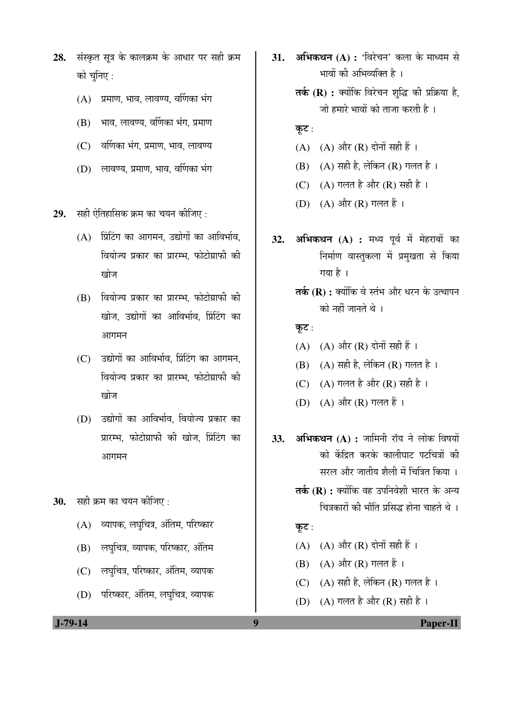- 28. संस्कृत सूत्र के कालक्रम के आधार पर सही क्रम को चुनिए :
	- $(A)$  प्रमाण, भाव, लावण्य, वर्णिका भंग
	- $(B)$  भाव, लावण्य, वर्णिका भंग, प्रमाण
	- $(C)$  वर्णिका भंग, प्रमाण, भाव, लावण्य
	- $(D)$  लावण्य, प्रमाण, भाव, वर्णिका भंग

**29.** सही ऐतिहासिक क्रम का चयन कीजिए :

- $(A)$  प्रिंटिंग का आगमन, उद्योगों का आविर्भाव, <u>वियोज्य प्रकार का प्रारम्भ, फोटोग्राफी की</u> ग्वोज
- $(B)$  वियोज्य प्रकार का प्रारम्भ फोटोग्राफी की खोज, उद्योगों का आविर्भाव, प्रिंटिंग का आगमन
- $(C)$  उद्योगों का आविर्भाव, प्रिंटिंग का आगमन, वियोज्य प्रकार का प्रारम्भ. फोटोग्राफी की खोज
- (D) उद्योगों का आविर्भाव, वियोज्य प्रकार का प्रारम्भ, फोटोग्राफी की खोज, प्रिंटिंग का आगमन
- **30.** सही क्रम का चयन कीजिए :
	- (A) व्यापक, लघचित्र, अंतिम, परिष्कार
	- (B) लघुचित्र, व्यापक, परिष्कार, अंतिम
	- (C) लघुचित्र, परिष्कार, अंतिम, व्यापक
	- (D) परिष्कार, अंतिम, लघुचित्र, व्यापक
- **31. अभिकथन (A) : '**विरेचन' कला के माध्यम से भावों की अभिव्यक्ति है ।
	- **तर्क (R) :** क्योंकि विरेचन शुद्धि की प्रक्रिया है, जो हमारे भावों को ताजा करती है ।
	- कूट:
	- (A)  $(A)$  और  $(R)$  दोनों सही हैं।
	- $(B)$   $(A)$  सही है, लेकिन  $(R)$  गलत है।
	- (C) (A) गलत है और (R) सही है ।
	- (D) (A) और (R) गलत हैं।
- **32. अभिकथन (A) :** मध्य पूर्व में मेहराबों का निर्माण वास्तुकला में प्रमुखता से किया गया है $\parallel$ 
	- **तर्क (R) :** क्योंकि वे स्तंभ और धरन के उत्थापन को नहीं जानते थे ।
	- कूट:
	- $(A)$   $(A)$  और  $(R)$  दोनों सही हैं।
	- (B) (A) सही है, लेकिन (R) गलत है।
	- (C)  $(A)$  गलत है और  $(R)$  सही है।
	- (D) (A) और (R) गलत हैं।
- **33. अभिकथन (A) :** जामिनी रॉय ने लोक विषयों <u>को केंद्रित करके कालीघाट पटचित्रों की</u> सरल और जातीय शैली में चित्रित किया ।
	- **तर्क (R) :** क्योंकि वह उपनिवेशी भारत के अन्य चित्रकारों की भाँति प्रसिद्ध होना चाहते थे ।
	- कूट:
	- $(A)$   $(A)$  और  $(R)$  दोनों सही हैं।
	- $(B)$   $(A)$  और  $(R)$  गलत हैं।
	- (C)  $(A)$  सही है, लेकिन (R) गलत है।
	- (D)  $(A)$  गलत है और (R) सही है।

 **J-79-14 9 Paper-II**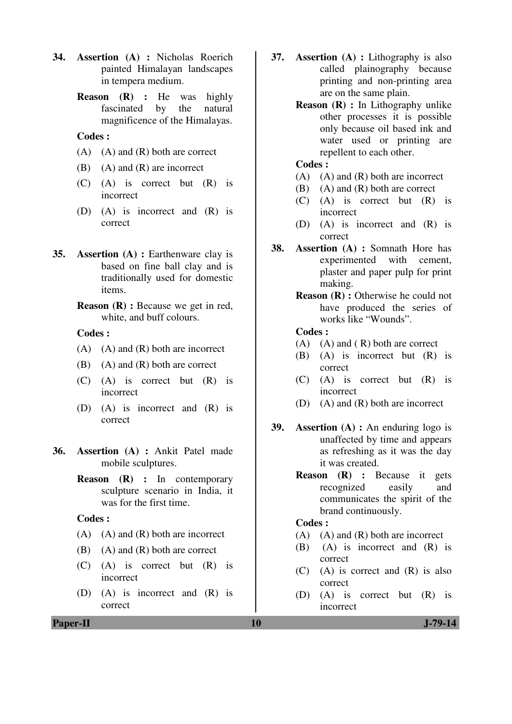- **34. Assertion (A) :** Nicholas Roerich painted Himalayan landscapes in tempera medium.
	- **Reason (R) :** He was highly fascinated by the natural magnificence of the Himalayas.

## **Codes :**

- $(A)$   $(A)$  and  $(R)$  both are correct
- (B) (A) and (R) are incorrect
- (C) (A) is correct but (R) is incorrect
- (D) (A) is incorrect and (R) is correct
- **35. Assertion (A) :** Earthenware clay is based on fine ball clay and is traditionally used for domestic items.

## **Codes :**

- $(A)$   $(A)$  and  $(R)$  both are incorrect
- $(B)$  (A) and  $(R)$  both are correct
- (C) (A) is correct but (R) is incorrect
- (D) (A) is incorrect and (R) is correct
- **36. Assertion (A) :** Ankit Patel made mobile sculptures.
	- **Reason (R) :** In contemporary sculpture scenario in India, it was for the first time.

#### **Codes :**

- $(A)$   $(A)$  and  $(R)$  both are incorrect
- $(B)$  (A) and  $(R)$  both are correct
- (C) (A) is correct but (R) is incorrect
- (D) (A) is incorrect and (R) is correct
- **37. Assertion (A) :** Lithography is also called plainography because printing and non-printing area are on the same plain.
	- **Reason (R) :** In Lithography unlike other processes it is possible only because oil based ink and water used or printing are repellent to each other.

## **Codes :**

- $(A)$   $(A)$  and  $(R)$  both are incorrect
- (B) (A) and (R) both are correct
- (C) (A) is correct but (R) is incorrect
- (D) (A) is incorrect and (R) is correct
- **38. Assertion (A) :** Somnath Hore has experimented with cement, plaster and paper pulp for print making.
	- **Reason (R) :** Otherwise he could not have produced the series of works like "Wounds".

#### **Codes :**

- $(A)$   $(A)$  and  $(R)$  both are correct
- (B) (A) is incorrect but (R) is correct
- (C) (A) is correct but (R) is incorrect
- (D) (A) and (R) both are incorrect
- **39. Assertion (A) :** An enduring logo is unaffected by time and appears as refreshing as it was the day it was created.
	- **Reason (R) :** Because it gets recognized easily and communicates the spirit of the brand continuously.

### **Codes :**

- $(A)$   $(A)$  and  $(R)$  both are incorrect
- (B) (A) is incorrect and (R) is correct
- (C) (A) is correct and (R) is also correct
- (D) (A) is correct but (R) is incorrect

**Reason (R) :** Because we get in red, white, and buff colours.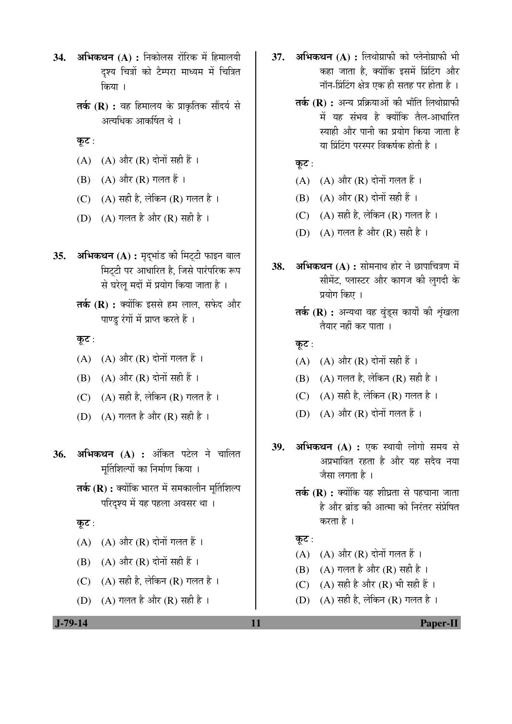- **34. अभिकथन (A) :** निकोलस रोंरिक में हिमालयी दश्य चित्रों को टैम्परा माध्यम में चित्रित किया ।
	- **तर्क (R) :** वह हिमालय के प्राकृतिक सौंदर्य से अत्यधिक आकर्षित थे ।
	- कूट :
	- $(A)$   $(A)$  और  $(R)$  दोनों सही हैं।
	- $(B)$   $(A)$  और  $(R)$  गलत हैं।
	- (C)  $(A)$  सही है, लेकिन (R) गलत है।
	- (D)  $(A)$  गलत है और  $(R)$  सही है।
- 35. अभिकथन (A) : मृदभांड की मिट्टी फाइन बाल मिटटी पर आधारित है, जिसे पारंपरिक रूप से घरेलू मदों में प्रयोग किया जाता है ।
	- **तर्क (R) :** क्योंकि इससे हम लाल. सफेद और पाण्ड रंगों में प्राप्त करते हैं ।

कूट:

- $(A)$   $(A)$  और  $(R)$  दोनों गलत हैं।
- $(B)$   $(A)$  और  $(R)$  दोनों सही हैं।
- $(C)$   $(A)$  सही है, लेकिन  $(R)$  गलत है।
- (D)  $(A)$  गलत है और (R) सही है।
- 36. अभिकथन (A) : अंकित पटेल ने चालित मुर्तिशिल्पों का निर्माण किया ।
	- **तर्क (R) :** क्योंकि भारत में समकालीन मर्तिशिल्प परिदश्य में यह पहला अवसर था।

कुट:

- $(A)$   $(A)$  और  $(R)$  दोनों गलत हैं।
- $(B)$   $(A)$  और  $(R)$  दोनों सही हैं ।
- $(C)$   $(A)$  सही है, लेकिन  $(R)$  गलत है।
- (D)  $(A)$  गलत है और  $(R)$  सही है ।
- 37. **अभिकथन (A) :** लिथोग्राफी को प्लेनोग्राफी भी कहा जाता है. क्योंकि इसमें प्रिंटिंग और नॉन-प्रिंटिंग क्षेत्र एक ही सतह पर होता है ।
	- **तर्क (R) :** अन्य प्रक्रियाओं की भाँति लिथोग्राफी में यह संभव है क्योंकि तैल-आधारित स्वाही और पानी का प्रयोग किया जाता है या प्रिंटिंग परस्पर विकर्षक होती है ।

कूट:

- $(A)$   $(A)$  और  $(R)$  दोनों गलत हैं।
- $(B)$   $(A)$  और  $(R)$  दोनों सही हैं।
- (C)  $(A)$  सही है, लेकिन (R) गलत है।
- (D)  $(A)$  गलत है और (R) सही है।
- **38. अभिकथन (A) :** सोमनाथ होर ने छापाचित्रण में सीमेंट, प्लास्टर और कागज की लगदी के प्रयोग किए ।
	- **तर्क (R) :** अन्यथा वह वुंड्स कार्यों की शृंखला तैयार नहीं कर पाता ।

कूट:

- (A)  $(A)$  और  $(R)$  दोनों सही हैं।
- (B)  $(A)$  गलत है, लेकिन (R) सही है।
- (C)  $(A)$  सही है, लेकिन (R) गलत है।
- $(D)$   $(A)$  और  $(R)$  दोनों गलत हैं।
- 39. अभिकथन (A) : एक स्थायी लोगो समय से अप्रभावित रहता है और यह सदैव नया जैसा लगता है ।
	- **तर्क (R) :** क्योंकि यह शीघ्रता से पहचाना जाता है और ब्रांड की आत्मा को निरंतर संप्रेषित करता है ।

कूट:

- $(A)$   $(A)$  और  $(R)$  दोनों गलत हैं।
- (B)  $(A)$  गलत है और  $(R)$  सही है।
- $(C)$   $(A)$  सही है और  $(R)$  भी सही हैं।
- (D)  $(A)$  सही है, लेकिन  $(R)$  गलत है।

 **J-79-14 11 Paper-II**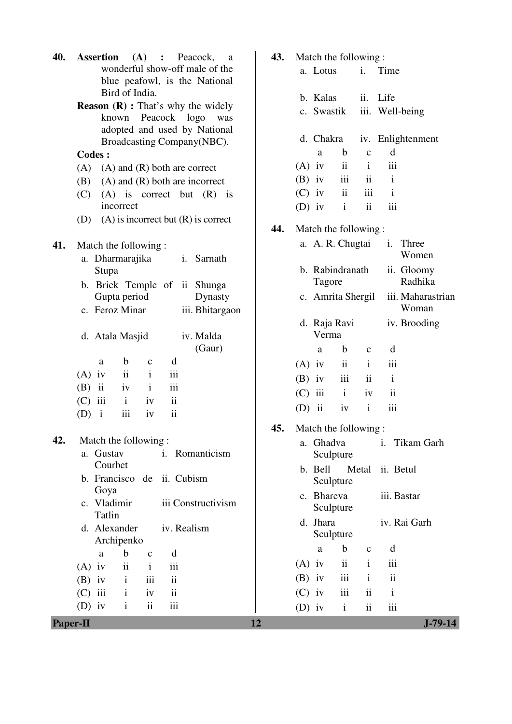| 40.             | <b>Assertion</b><br>(A)<br>Peacock,<br>$\ddot{\cdot}$<br>a   | 43. | Match the following:                                        |  |  |  |  |  |
|-----------------|--------------------------------------------------------------|-----|-------------------------------------------------------------|--|--|--|--|--|
|                 | wonderful show-off male of the                               |     | Time<br>a. Lotus<br>i.                                      |  |  |  |  |  |
|                 | blue peafowl, is the National<br>Bird of India.              |     |                                                             |  |  |  |  |  |
|                 | <b>Reason (R)</b> : That's why the widely                    |     | b. Kalas<br>Life<br>ii.                                     |  |  |  |  |  |
|                 | known Peacock logo<br>was                                    |     | iii. Well-being<br>c. Swastik                               |  |  |  |  |  |
|                 | adopted and used by National                                 |     |                                                             |  |  |  |  |  |
|                 | Broadcasting Company(NBC).                                   |     | d. Chakra<br>iv. Enlightenment                              |  |  |  |  |  |
|                 | <b>Codes:</b>                                                |     | $\mathbf b$<br>d<br>$\mathbf c$<br>a                        |  |  |  |  |  |
|                 | $(A)$ and $(R)$ both are correct<br>(A)                      |     | ii<br>iii<br>$(A)$ iv<br>$\mathbf{i}$                       |  |  |  |  |  |
|                 | $(A)$ and $(R)$ both are incorrect<br>(B)                    |     | iii<br>$\mathbf{i}$<br>$\mathbf{ii}$<br>$(B)$ iv            |  |  |  |  |  |
|                 | (C)<br>$(A)$ is correct but $(R)$ is                         |     | ii<br>iii<br>$\mathbf{i}$<br>$(C)$ iv                       |  |  |  |  |  |
|                 | incorrect                                                    |     | $\mathbf{i}$<br>ii<br>iii<br>$(D)$ iv                       |  |  |  |  |  |
|                 | $(A)$ is incorrect but $(R)$ is correct<br>(D)               |     |                                                             |  |  |  |  |  |
|                 |                                                              | 44. | Match the following:                                        |  |  |  |  |  |
| 41.             | Match the following:                                         |     | a. A. R. Chugtai<br>Three<br>i.<br>Women                    |  |  |  |  |  |
|                 | a. Dharmarajika<br>i. Sarnath                                |     | b. Rabindranath                                             |  |  |  |  |  |
|                 | Stupa                                                        |     | ii. Gloomy<br>Radhika<br>Tagore                             |  |  |  |  |  |
|                 | b. Brick Temple of ii Shunga                                 |     | iii. Maharastrian<br>c. Amrita Shergil                      |  |  |  |  |  |
|                 | Gupta period<br>Dynasty<br>c. Feroz Minar<br>iii. Bhitargaon |     | Woman                                                       |  |  |  |  |  |
|                 |                                                              |     | iv. Brooding<br>d. Raja Ravi                                |  |  |  |  |  |
|                 | d. Atala Masjid<br>iv. Malda                                 |     | Verma                                                       |  |  |  |  |  |
|                 | (Gaur)                                                       |     | $\mathbf b$<br>d<br>a<br>$\mathbf{C}$                       |  |  |  |  |  |
|                 | $\mathbf b$<br>d<br>a<br>$\mathbf{C}$                        |     | $\mathbf{i}$<br>$\mathbf{ii}$<br>$(A)$ iv<br>iii            |  |  |  |  |  |
|                 | $\mathbf{i}$<br>ii<br>iii<br>$(A)$ iv                        |     | iii<br>$\mathbf{i}$<br>ii<br>$(B)$ iv                       |  |  |  |  |  |
|                 | iii<br>$(B)$ ii<br>$\mathbf{i}$<br>iv                        |     | $\mathbf{ii}$<br>iii<br>$\mathbf{i}$<br>iv                  |  |  |  |  |  |
|                 | $\mathbf{ii}$<br>$(C)$ iii<br>$\mathbf{i}$<br>iv             |     | (C)                                                         |  |  |  |  |  |
|                 | ii<br>iii<br>$\mathbf{i}$<br>(D)<br>iv                       |     | iii<br>$(D)$ ii<br>$\mathbf{i}$<br>iv                       |  |  |  |  |  |
|                 |                                                              | 45. | Match the following:                                        |  |  |  |  |  |
| 42.             | Match the following:                                         |     | a. Ghadva<br>Tikam Garh<br>i.                               |  |  |  |  |  |
|                 | a. Gustav<br>i. Romanticism                                  |     | Sculpture                                                   |  |  |  |  |  |
|                 | Courbet                                                      |     | b. Bell<br>Metal<br>ii. Betul                               |  |  |  |  |  |
|                 | b. Francisco de<br>ii. Cubism                                |     | Sculpture                                                   |  |  |  |  |  |
|                 | Goya<br>c. Vladimir<br>iii Constructivism                    |     | c. Bhareva<br>iii. Bastar                                   |  |  |  |  |  |
|                 | Tatlin                                                       |     | Sculpture                                                   |  |  |  |  |  |
|                 | d. Alexander<br>iv. Realism                                  |     | d. Jhara<br>iv. Rai Garh                                    |  |  |  |  |  |
|                 | Archipenko                                                   |     | Sculpture                                                   |  |  |  |  |  |
|                 | $\mathbf b$<br>d<br>a<br>$\mathbf C$                         |     | $\mathbf b$<br>a<br>d<br>$\mathbf{C}$                       |  |  |  |  |  |
|                 | $\ddot{\mathbf{i}}$<br>$\mathbf{i}$<br>iii<br>$(A)$ iv       |     | $\overline{\mathbf{ii}}$<br>iii<br>$\mathbf{i}$<br>$(A)$ iv |  |  |  |  |  |
|                 | iii<br>ii<br>$\mathbf{i}$<br>$(B)$ iv                        |     | iii<br>$\overline{\mathbf{1}}$<br>$(B)$ iv<br>$\mathbf{i}$  |  |  |  |  |  |
|                 | $(C)$ iii<br>$\mathbf{i}$<br>iv<br>$\overline{\mathbf{u}}$   |     | iii<br>$\mathbf{ii}$<br>$\mathbf{i}$<br>$(C)$ iv            |  |  |  |  |  |
|                 | ii<br>iii<br>$(D)$ iv<br>$\mathbf{i}$                        |     | ii<br>iii<br>$\mathbf{i}$<br>$(D)$ iv                       |  |  |  |  |  |
| <b>Paper-II</b> |                                                              | 12  | $J - 79 - 14$                                               |  |  |  |  |  |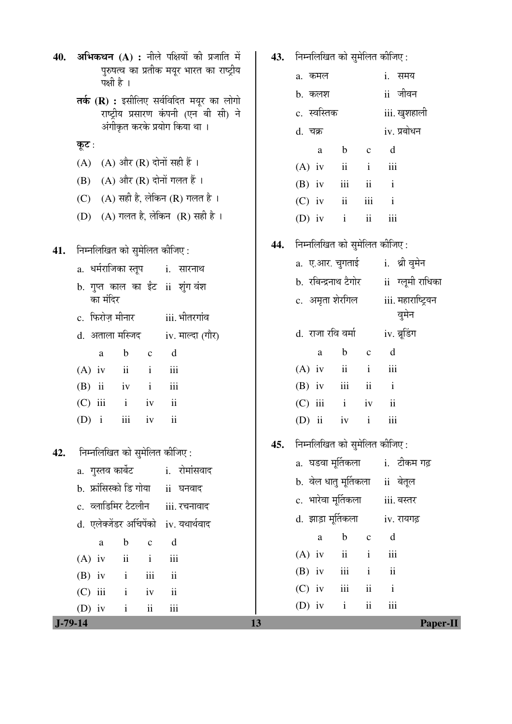| 40.       | अभिकथन (A) : नीले पक्षियों की प्रजाति में                   | 43. | निम्नलिखित को सुमेलित कीजिए:                        |                    |  |  |  |
|-----------|-------------------------------------------------------------|-----|-----------------------------------------------------|--------------------|--|--|--|
|           | पुरुषत्व का प्रतीक मयूर भारत का राष्ट्रीय<br>पक्षी है ।     |     | a. कमल                                              | i. समय             |  |  |  |
|           | तर्क (R) : इसीलिए सर्वविदित मयूर का लोगो                    |     | b. कलश                                              | ii जीवन            |  |  |  |
|           | राष्ट्रीय प्रसारण कंपनी (एन बी सी) ने                       |     | c. स्वस्तिक                                         | iii. खुशहाली       |  |  |  |
|           | अंगीकृत करके प्रयोग किया था।                                |     | d. चक्र                                             | iv. प्रबोधन        |  |  |  |
|           | कूट :                                                       |     | $\mathbf b$<br>$\mathbf c$<br>a                     | d                  |  |  |  |
|           | $(A)$ और $(R)$ दोनों सही हैं।<br>(A)                        |     | $\overline{\mathbf{u}}$<br>$\mathbf{i}$<br>$(A)$ iv | iii                |  |  |  |
|           | $(A)$ और $(R)$ दोनों गलत हैं।<br>(B)                        |     | iii<br>$\overline{\mathbf{ii}}$<br>$(B)$ iv         | $\mathbf{i}$       |  |  |  |
|           | (A) सही है, लेकिन (R) गलत है।<br>(C)                        |     | $\rm ii$<br>iii<br>$(C)$ iv                         | $\mathbf{i}$       |  |  |  |
|           | $(A)$ गलत है, लेकिन $(R)$ सही है।<br>(D)                    |     | $\ddot{\mathbf{i}}$<br>$(D)$ iv<br>$\mathbf{i}$     | iii                |  |  |  |
| 41.       | निम्नलिखित को सुमेलित कीजिए:                                | 44. | निम्नलिखित को सुमेलित कीजिए:                        |                    |  |  |  |
|           | a.  धर्मराजिका स्तूप<br>i. सारनाथ                           |     | a.  ए.आर. चुगताई                                    | i. श्री वुमेन      |  |  |  |
|           | b. गुप्त काल का ईंट ii शुंग वंश                             |     | b.  रबिन्द्रनाथ टैगोर                               | ii ग्लूमी राधिका   |  |  |  |
|           | का मंदिर                                                    |     | c.  अमृता शेरगिल                                    | iii. महाराष्ट्रियन |  |  |  |
|           | c. फिरोज़ मीनार<br>iii. भीतरगांव                            |     |                                                     | वुमेन              |  |  |  |
|           | d. अताला मस्जिद<br>iv. माल्दा (गौर)                         |     | d.  राजा रवि वर्मा                                  | iv. बूडिंग         |  |  |  |
|           | $\mathbf b$<br>d<br>a<br>$\mathbf C$                        |     | $\mathbf b$<br>$\mathbf c$<br>a                     | d                  |  |  |  |
|           | $\overline{\mathbf{u}}$<br>iii<br>$(A)$ iv<br>$\mathbf{i}$  |     | $\rm ii$<br>$(A)$ iv<br>$\mathbf{i}$                | iii                |  |  |  |
|           | $(B)$ ii<br>iii<br>$\mathbf{i}$<br>iv                       |     | iii<br>$\overline{\mathbf{u}}$<br>$(B)$ iv          | $\mathbf{i}$       |  |  |  |
|           | $\overline{\mathbf{ii}}$<br>$(C)$ iii<br>$\mathbf{i}$<br>iv |     | $(C)$ iii<br>$\mathbf{i}$<br>iv                     | $\mathbf{ii}$      |  |  |  |
|           | iii<br>$\ddot{\rm n}$<br>$(D)$ i<br>iv                      |     | $(D)$ ii<br>iv<br>$\mathbf{i}$                      | iii                |  |  |  |
| 42.       | निम्नलिखित को सुमेलित कीजिए :                               | 45. | निम्नलिखित को सुमेलित कीजिए:                        |                    |  |  |  |
|           | a. गुस्तव कार्बेट          i.   रोमांसवाद                   |     | a.  घडवा मूर्तिकला         i.   टीकम गढ़            |                    |  |  |  |
|           | b. फ्रांसिस्को डि गोया ii घनवाद                             |     | b.  वेल धातु मूर्तिकला                              | ii बेतूल           |  |  |  |
|           | c. व्लाडिमिर टैटलीन iii. रचनावाद                            |     | c. भारेवा मूर्तिकला       iii. बस्तर                |                    |  |  |  |
|           | d. एलेक्जेंडर अर्चिपेंको iv. यथार्थवाद                      |     | d.  झाड़ा मूर्तिकला                                 | iv. रायगढ़         |  |  |  |
|           | d<br>$\mathbf b$<br>$\mathbf{C}$<br>a                       |     | $\mathbf b$<br>$\mathbf c$<br>a                     | d                  |  |  |  |
|           | $\mathbf{ii}$<br>$\mathbf{i}$<br>$(A)$ iv<br>iii            |     | ii<br>$\mathbf{i}$<br>$(A)$ iv                      | iii                |  |  |  |
|           | iii<br>$\mathbf{i}$<br>$\overline{\mathbf{u}}$<br>$(B)$ iv  |     | $\,$ iii<br>$\mathbf{i}$<br>$(B)$ iv                | ii                 |  |  |  |
|           | $(C)$ iii<br>ii<br>$\mathbf{i}$<br>iv                       |     | iii<br>$(C)$ iv<br>ii                               | $\mathbf{i}$       |  |  |  |
|           | $\mathbf{ii}$<br>$(D)$ iv<br>$\mathbf{i}$<br>iii            |     | (D) iv $i$<br>$\overline{\mathbf{u}}$               | iii                |  |  |  |
| $J-79-14$ |                                                             | 13  |                                                     | Paper-II           |  |  |  |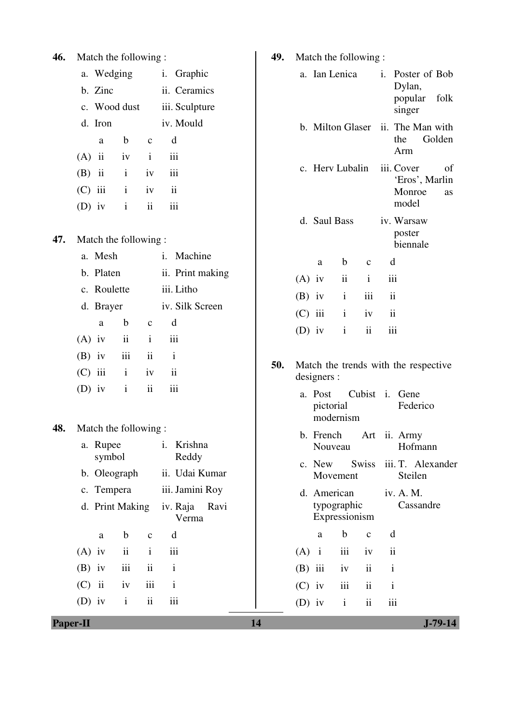| 46. | Match the following:                   |                         |                          |                           |                                    | 49.<br>Match the following: |           |                              |                                                     |                                                     |                  |                          |                         |                              |        |
|-----|----------------------------------------|-------------------------|--------------------------|---------------------------|------------------------------------|-----------------------------|-----------|------------------------------|-----------------------------------------------------|-----------------------------------------------------|------------------|--------------------------|-------------------------|------------------------------|--------|
|     |                                        | a. Wedging              |                          |                           | Graphic<br>i.                      |                             |           |                              |                                                     |                                                     | a. Ian Lenica    |                          | i.                      | Poster of Bob                |        |
|     |                                        | b. Zinc                 |                          |                           | ii. Ceramics                       |                             |           |                              |                                                     |                                                     |                  |                          |                         | Dylan,<br>popular            | folk   |
|     |                                        |                         | c. Wood dust             |                           | iii. Sculpture                     |                             |           |                              |                                                     |                                                     |                  |                          |                         | singer                       |        |
|     |                                        | d. Iron                 |                          |                           | iv. Mould                          |                             |           |                              |                                                     |                                                     | b. Milton Glaser |                          |                         | ii. The Man with             |        |
|     |                                        | a                       | $\mathbf b$              | $\mathbf C$               | $\mathbf d$                        |                             |           |                              |                                                     |                                                     |                  |                          | the                     | Arm                          | Golden |
|     | (A)                                    | ii                      | iv                       | $\mathbf{i}$              | iii                                |                             |           |                              |                                                     |                                                     | c. Herv Lubalin  |                          | iii. Cover              |                              | of     |
|     | (B)                                    | $\overline{\mathbf{u}}$ | $\mathbf{i}$             | iv                        | iii                                |                             |           |                              |                                                     |                                                     |                  |                          |                         | 'Eros', Marlin               |        |
|     | (C)                                    | iii                     | $\mathbf{i}$             | iv                        | $\overline{\textbf{1}}\textbf{1}$  |                             |           |                              |                                                     |                                                     |                  |                          |                         | Monroe<br>model              | as     |
|     |                                        | $(D)$ iv                | $\mathbf{i}$             | ii                        | iii                                |                             |           |                              |                                                     | d. Saul Bass                                        |                  |                          |                         | iv. Warsaw                   |        |
| 47. |                                        |                         | Match the following:     |                           |                                    |                             |           |                              |                                                     |                                                     |                  |                          |                         | poster<br>biennale           |        |
|     |                                        | a. Mesh                 |                          |                           | $\mathbf{i}$ .<br>Machine          |                             |           |                              |                                                     | $\rm{a}$                                            | $\mathbf b$      | $\mathbf{C}$             | d                       |                              |        |
|     |                                        | b. Platen               |                          |                           |                                    | ii. Print making            |           |                              | $(A)$ iv                                            |                                                     | ii               | $\mathbf{i}$             | iii                     |                              |        |
|     |                                        | c. Roulette             |                          |                           | iii. Litho                         |                             |           |                              | $(B)$ iv                                            |                                                     | $\mathbf{i}$     | iii                      | $\overline{\mathbf{u}}$ |                              |        |
|     |                                        | d. Brayer               |                          |                           | iv. Silk Screen                    |                             |           |                              | $(C)$ iii                                           |                                                     | $\mathbf{i}$     | iv                       | ii                      |                              |        |
|     |                                        | a                       | $\mathbf b$              | $\mathbf C$               | d                                  |                             |           |                              | $(D)$ iv                                            |                                                     | $\mathbf{i}$     | $\overline{\textbf{ii}}$ | iii                     |                              |        |
|     | $(A)$ iv                               |                         | $\overline{\textbf{ii}}$ | $\mathbf{i}$              | iii                                |                             |           |                              |                                                     |                                                     |                  |                          |                         |                              |        |
|     | $(B)$ iv                               |                         | iii                      | $\mathbf{ii}$             | $\mathbf{i}$                       |                             |           | 50.                          |                                                     |                                                     |                  |                          |                         |                              |        |
|     | (C)                                    | iii                     | $\mathbf{i}$             | iv                        | $\overline{\mathbf{u}}$            |                             |           |                              | Match the trends with the respective<br>designers : |                                                     |                  |                          |                         |                              |        |
|     |                                        | $(D)$ iv                | $\mathbf{i}$             | ii                        | iii                                |                             |           |                              |                                                     | Cubist i. Gene<br>a. Post<br>pictorial<br>modernism |                  |                          |                         | Federico                     |        |
| 48. |                                        |                         | Match the following:     |                           |                                    |                             | b. French |                              |                                                     | Art ii. Army                                        |                  |                          |                         |                              |        |
|     |                                        | a. Rupee<br>symbol      |                          |                           | Krishna<br>$\mathbf{i}$ .<br>Reddy |                             |           | Nouveau                      |                                                     |                                                     |                  | Hofmann                  |                         |                              |        |
|     |                                        |                         | b. Oleograph             |                           |                                    | ii. Udai Kumar              |           |                              |                                                     | c. New                                              | Movement         | <b>Swiss</b>             |                         | iii. T. Alexander<br>Steilen |        |
|     |                                        | c. Tempera              |                          |                           |                                    | iii. Jamini Roy             |           |                              |                                                     | d. American                                         |                  |                          | iv. A. M.               |                              |        |
|     |                                        | d. Print Making         |                          | Ravi<br>iv. Raja<br>Verma |                                    |                             |           | typographic<br>Expressionism |                                                     |                                                     | Cassandre        |                          |                         |                              |        |
|     |                                        | $\mathbf a$             | $\mathbf b$              | $\mathbf C$               | d                                  |                             |           |                              |                                                     | $\mathbf{a}$                                        | $\mathbf b$      | $\mathbf{C}$             | d                       |                              |        |
|     | $(A)$ iv                               |                         | $\overline{\mathbf{u}}$  | $\mathbf{i}$              | iii                                |                             |           |                              | $(A)$ i                                             |                                                     | iii              | iv                       | $\overline{\mathbf{u}}$ |                              |        |
|     |                                        | $(B)$ iv                | iii                      | $\rm ii$                  | $\mathbf{i}$                       |                             |           |                              | $(B)$ iii                                           |                                                     | iv               | $\rm ii$                 | $\mathbf{i}$            |                              |        |
|     | $(C)$ ii                               |                         | iv                       | iii                       | $\mathbf{i}$                       |                             |           |                              | $(C)$ iv                                            |                                                     | iii              | $\mathbf{ii}$            | $\mathbf{i}$            |                              |        |
|     |                                        | $(D)$ iv                | $\mathbf{i}$             | $\rm ii$                  | iii                                |                             |           |                              | $(D)$ iv                                            |                                                     | $\mathbf{i}$     | $\rm ii$                 | iii                     |                              |        |
|     | <b>Paper-II</b><br>14<br>$J - 79 - 14$ |                         |                          |                           |                                    |                             |           |                              |                                                     |                                                     |                  |                          |                         |                              |        |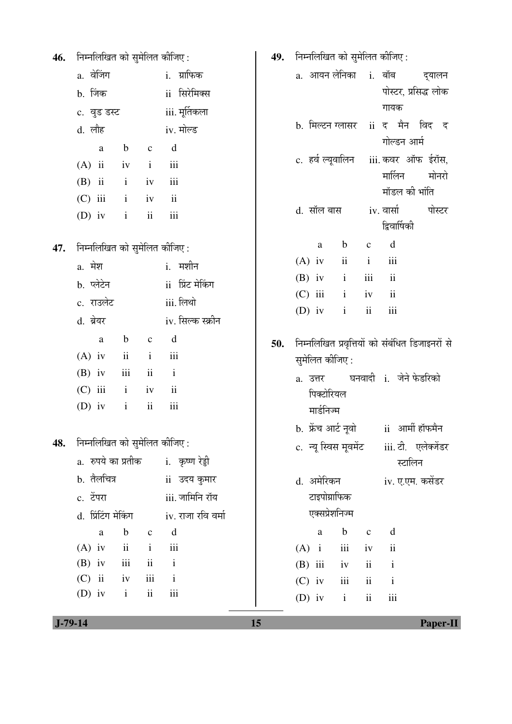| 46. | निम्नलिखित को सुमेलित कीजिए:                                         |                    |     | 49. निम्नलिखित को सुमेलित कीजिए:                                                  |
|-----|----------------------------------------------------------------------|--------------------|-----|-----------------------------------------------------------------------------------|
|     | a. वेजिंग                                                            | i. ग्राफिक         |     | a. आयन लेनिका   i.  बॉब<br>दुयालन                                                 |
|     | b. जिंक                                                              | ii सिरेमिक्स       |     | पोस्टर, प्रसिद्ध लोक                                                              |
|     | c. वुड डस्ट                                                          | iii. मूर्तिकला     |     | गायक                                                                              |
|     | d. लौह                                                               | iv. मोल्ड          |     | b. मिल्टन ग्लासर ii द मैन विद द                                                   |
|     | $\mathbf b$<br>$\mathbf c$<br>$\mathbf{a}$                           | d                  |     | गोल्डन आर्म                                                                       |
|     | $(A)$ ii<br>$\mathbf{i}$<br>iv                                       | iii                |     | c. हर्व ल्यूवालिन iii. कवर ऑफ ईरॉस,                                               |
|     | $(B)$ ii<br>$\,$ i<br>iv                                             | iii                |     | मालिन<br>मोनरो                                                                    |
|     | $(C)$ iii<br>$\mathbf{i}$<br>iv                                      | ii                 |     | मॉडल की भांति                                                                     |
|     | $\mathbf{ii}$<br>$(D)$ iv<br>$\mathbf{i}$                            | iii                |     | iv. वार्सा<br>d. सॉल बास<br>पोस्टर                                                |
|     |                                                                      |                    |     | द्विवार्षिकी                                                                      |
| 47. | निम्नलिखित को सुमेलित कीजिए:                                         |                    |     | $\mathbf d$<br>$\mathbf b$<br>$\mathbf{C}$<br>a<br>ii<br>$\,$ iii<br>$\mathbf{i}$ |
|     | a. मेश                                                               | <u>i.</u> मशीन     |     | $(A)$ iv<br>$\overline{\mathbf{u}}$<br>$\mathbf{i}$<br>iii<br>$(B)$ iv            |
|     | b. प्लेटेन                                                           | ii प्रिंट मेकिंग   |     | ii<br>$(C)$ iii<br>$\mathbf{i}$<br>iv                                             |
|     | c. राउलेट                                                            | iii. लिथो          |     | ii<br>iii<br>$\mathbf{i}$<br>$(D)$ iv                                             |
|     | d. ब्रेयर                                                            | iv. सिल्क स्क्रीन  |     |                                                                                   |
|     | $\mathbf b$<br>$\mathbf{C}$<br>$\rm{a}$                              | d                  | 50. | निम्नलिखित प्रवृत्तियों को संबंधित डिजाइनरों से                                   |
|     | $\ddot{\rm n}$<br>$\mathbf{i}$<br>$(A)$ iv                           | iii                |     | सुमेलित कीजिए :                                                                   |
|     | $\rm ii$<br>iii<br>$(B)$ iv                                          | $\mathbf{i}$       |     | घनवादी i. जेने फेडरिको<br>a. उत्तर                                                |
|     | $(C)$ iii<br>$\mathbf{i}$<br>iv                                      | ii                 |     | पिक्टोरियल                                                                        |
|     | $\rm ii$<br>$\mathbf{i}$<br>$(D)$ iv                                 | iii                |     | मार्डनिज्म                                                                        |
|     |                                                                      |                    |     | b. फ्रेंच आर्ट नूवो ii आर्मी हॉफमैन                                               |
| 48. | निम्नलिखित को सुमेलित कीजिए:                                         |                    |     | c. न्यू स्विस मूवमेंट iii. टी. एलेक्जेंडर                                         |
|     | a. रुपये का प्रतीक  कृष्ण रेड्डी                                     |                    |     | स्टालिन                                                                           |
|     | b. तैलचित्र                                                          | ii) उदय कुमार      |     | d. अमेरिकन<br>iv. ए.एम. कसेंडर                                                    |
|     | c. टेंपरा                                                            | iii. जामिनि रॉय    |     | टाइपोग्राफिक<br>एक्सप्रेशनिज्म                                                    |
|     | d. प्रिंटिंग मेकिंग                                                  | iv. राजा रवि वर्मा |     | $\mathbf b$<br>d<br>$\mathbf a$                                                   |
|     | $\mathbf b$<br>$\rm{a}$<br>$(A)$ iv<br>$\mathbf{ii}$<br>$\mathbf{i}$ | $c \, d$<br>iii    |     | $\mathbf c$<br>iii<br>$\ddot{\rm n}$<br>$(A)$ i<br>iv                             |
|     | $\ddot{\mathbf{i}}$<br>iii<br>$(B)$ iv                               | $\mathbf{i}$       |     | $(B)$ iii<br>ii<br>$\mathbf{i}$<br>iv                                             |
|     | iii<br>$(C)$ ii<br>iv                                                | $\mathbf{i}$       |     | $(C)$ iv<br>iii<br>ii<br>$\mathbf{i}$                                             |
|     | $\ddot{\rm n}$<br>$(D)$ iv<br>$\rm i$                                | $\rm iii$          |     | (D) iv $i$<br>ii<br>iii                                                           |
|     |                                                                      |                    |     |                                                                                   |

 **J-79-14 15 Paper-II**